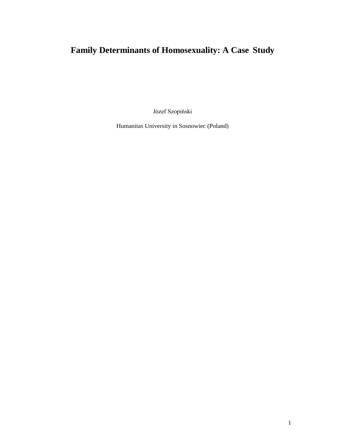Józef Szopiński

Humanitas University in Sosnowiec (Poland)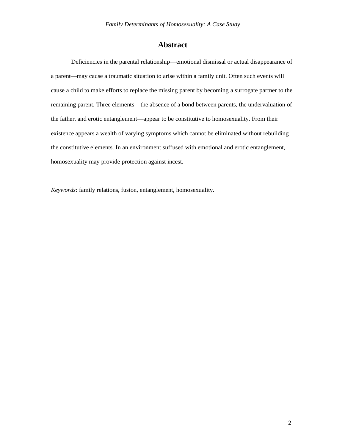# **Abstract**

Deficiencies in the parental relationship—emotional dismissal or actual disappearance of a parent—may cause a traumatic situation to arise within a family unit. Often such events will cause a child to make efforts to replace the missing parent by becoming a surrogate partner to the remaining parent. Three elements—the absence of a bond between parents, the undervaluation of the father, and erotic entanglement—appear to be constitutive to homosexuality. From their existence appears a wealth of varying symptoms which cannot be eliminated without rebuilding the constitutive elements. In an environment suffused with emotional and erotic entanglement, homosexuality may provide protection against incest.

*Keywords*: family relations, fusion, entanglement, homosexuality.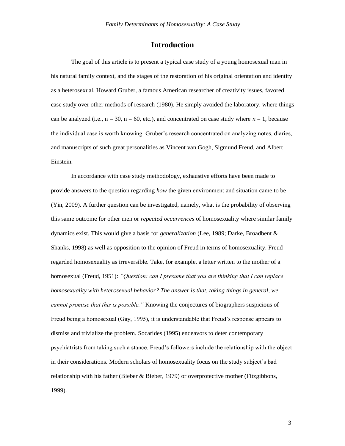# **Introduction**

The goal of this article is to present a typical case study of a young homosexual man in his natural family context, and the stages of the restoration of his original orientation and identity as a heterosexual. Howard Gruber, a famous American researcher of creativity issues, favored case study over other methods of research (1980). He simply avoided the laboratory, where things can be analyzed (i.e.,  $n = 30$ ,  $n = 60$ , etc.), and concentrated on case study where  $n = 1$ , because the individual case is worth knowing. Gruber's research concentrated on analyzing notes, diaries, and manuscripts of such great personalities as Vincent van Gogh, Sigmund Freud, and Albert Einstein.

In accordance with case study methodology, exhaustive efforts have been made to provide answers to the question regarding *how* the given environment and situation came to be (Yin, 2009). A further question can be investigated, namely, what is the probability of observing this same outcome for other men or *repeated occurrences* of homosexuality where similar family dynamics exist. This would give a basis for *generalization* (Lee, 1989; Darke, Broadbent & Shanks, 1998) as well as opposition to the opinion of Freud in terms of homosexuality. Freud regarded homosexuality as irreversible. Take, for example, a letter written to the mother of a homosexual (Freud, 1951): *"Question: can I presume that you are thinking that I can replace homosexuality with heterosexual behavior? The answer is that, taking things in general, we cannot promise that this is possible."* Knowing the conjectures of biographers suspicious of Freud being a homosexual (Gay, 1995), it is understandable that Freud's response appears to dismiss and trivialize the problem. Socarides (1995) endeavors to deter contemporary psychiatrists from taking such a stance. Freud's followers include the relationship with the object in their considerations. Modern scholars of homosexuality focus on the study subject's bad relationship with his father (Bieber & Bieber, 1979) or overprotective mother (Fitzgibbons, 1999).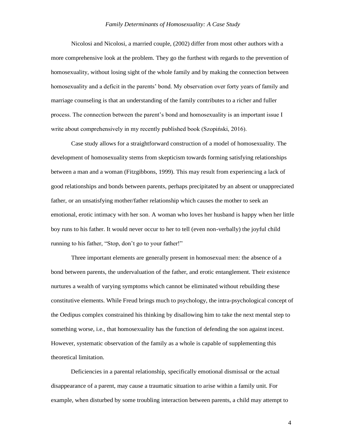Nicolosi and Nicolosi, a married couple, (2002) differ from most other authors with a more comprehensive look at the problem. They go the furthest with regards to the prevention of homosexuality, without losing sight of the whole family and by making the connection between homosexuality and a deficit in the parents' bond. My observation over forty years of family and marriage counseling is that an understanding of the family contributes to a richer and fuller process. The connection between the parent's bond and homosexuality is an important issue I write about comprehensively in my recently published book (Szopiński, 2016).

Case study allows for a straightforward construction of a model of homosexuality. The development of homosexuality stems from skepticism towards forming satisfying relationships between a man and a woman (Fitzgibbons, 1999). This may result from experiencing a lack of good relationships and bonds between parents, perhaps precipitated by an absent or unappreciated father, or an unsatisfying mother/father relationship which causes the mother to seek an emotional, erotic intimacy with her son. A woman who loves her husband is happy when her little boy runs to his father. It would never occur to her to tell (even non-verbally) the joyful child running to his father, "Stop, don't go to your father!"

Three important elements are generally present in homosexual men: the absence of a bond between parents, the undervaluation of the father, and erotic entanglement. Their existence nurtures a wealth of varying symptoms which cannot be eliminated without rebuilding these constitutive elements. While Freud brings much to psychology, the intra-psychological concept of the Oedipus complex constrained his thinking by disallowing him to take the next mental step to something worse, i.e., that homosexuality has the function of defending the son against incest. However, systematic observation of the family as a whole is capable of supplementing this theoretical limitation.

Deficiencies in a parental relationship, specifically emotional dismissal or the actual disappearance of a parent, may cause a traumatic situation to arise within a family unit. For example, when disturbed by some troubling interaction between parents, a child may attempt to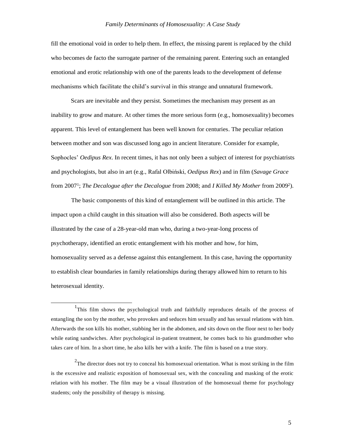fill the emotional void in order to help them. In effect, the missing parent is replaced by the child who becomes de facto the surrogate partner of the remaining parent. Entering such an entangled emotional and erotic relationship with one of the parents leads to the development of defense mechanisms which facilitate the child's survival in this strange and unnatural framework.

Scars are inevitable and they persist. Sometimes the mechanism may present as an inability to grow and mature. At other times the more serious form (e.g., homosexuality) becomes apparent. This level of entanglement has been well known for centuries. The peculiar relation between mother and son was discussed long ago in ancient literature. Consider for example, Sophocles' *Oedipus Rex*. In recent times, it has not only been a subject of interest for psychiatrists and psychologists, but also in art (e.g., Rafal Olbiński, *Oedipus Rex*) and in film (*Savage Grace*  from 2007<sup>1</sup>; *The Decalogue after the Decalogue* from 2008; and *I Killed My Mother* from 2009<sup>2</sup>).

The basic components of this kind of entanglement will be outlined in this article. The impact upon a child caught in this situation will also be considered. Both aspects will be illustrated by the case of a 28-year-old man who, during a two-year-long process of psychotherapy, identified an erotic entanglement with his mother and how, for him, homosexuality served as a defense against this entanglement. In this case, having the opportunity to establish clear boundaries in family relationships during therapy allowed him to return to his heterosexual identity.

<sup>&</sup>lt;sup>1</sup>This film shows the psychological truth and faithfully reproduces details of the process of entangling the son by the mother, who provokes and seduces him sexually and has sexual relations with him. Afterwards the son kills his mother, stabbing her in the abdomen, and sits down on the floor next to her body while eating sandwiches. After psychological in-patient treatment, he comes back to his grandmother who takes care of him. In a short time, he also kills her with a knife. The film is based on a true story.

<sup>&</sup>lt;sup>2</sup>The director does not try to conceal his homosexual orientation. What is most striking in the film is the excessive and realistic exposition of homosexual sex, with the concealing and masking of the erotic relation with his mother. The film may be a visual illustration of the homosexual theme for psychology students; only the possibility of therapy is missing.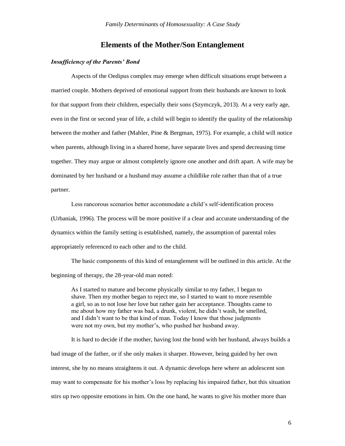### **Elements of the Mother/Son Entanglement**

### *Insufficiency of the Parents' Bond*

Aspects of the Oedipus complex may emerge when difficult situations erupt between a married couple. Mothers deprived of emotional support from their husbands are known to look for that support from their children, especially their sons (Szymczyk, 2013). At a very early age, even in the first or second year of life, a child will begin to identify the quality of the relationship between the mother and father (Mahler, Pine & Bergman, 1975). For example, a child will notice when parents, although living in a shared home, have separate lives and spend decreasing time together. They may argue or almost completely ignore one another and drift apart. A wife may be dominated by her husband or a husband may assume a childlike role rather than that of a true partner.

Less rancorous scenarios better accommodate a child's self-identification process (Urbaniak, 1996). The process will be more positive if a clear and accurate understanding of the dynamics within the family setting is established, namely, the assumption of parental roles appropriately referenced to each other and to the child.

The basic components of this kind of entanglement will be outlined in this article. At the beginning of therapy, the 28-year-old man noted:

As I started to mature and become physically similar to my father, I began to shave. Then my mother began to reject me, so I started to want to more resemble a girl, so as to not lose her love but rather gain her acceptance. Thoughts came to me about how my father was bad, a drunk, violent, he didn't wash, he smelled, and I didn't want to be that kind of man. Today I know that those judgments were not my own, but my mother's, who pushed her husband away.

It is hard to decide if the mother, having lost the bond with her husband, always builds a bad image of the father, or if she only makes it sharper. However, being guided by her own interest, she by no means straightens it out. A dynamic develops here where an adolescent son may want to compensate for his mother's loss by replacing his impaired father, but this situation stirs up two opposite emotions in him. On the one hand, he wants to give his mother more than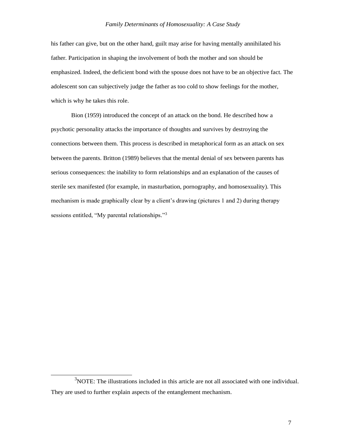his father can give, but on the other hand, guilt may arise for having mentally annihilated his father. Participation in shaping the involvement of both the mother and son should be emphasized. Indeed, the deficient bond with the spouse does not have to be an objective fact. The adolescent son can subjectively judge the father as too cold to show feelings for the mother, which is why he takes this role.

Bion (1959) introduced the concept of an attack on the bond. He described how a psychotic personality attacks the importance of thoughts and survives by destroying the connections between them. This process is described in metaphorical form as an attack on sex between the parents. Britton (1989) believes that the mental denial of sex between parents has serious consequences: the inability to form relationships and an explanation of the causes of sterile sex manifested (for example, in masturbation, pornography, and homosexuality). This mechanism is made graphically clear by a client's drawing (pictures 1 and 2) during therapy sessions entitled, "My parental relationships*.*" 3

<sup>&</sup>lt;sup>3</sup>NOTE: The illustrations included in this article are not all associated with one individual. They are used to further explain aspects of the entanglement mechanism.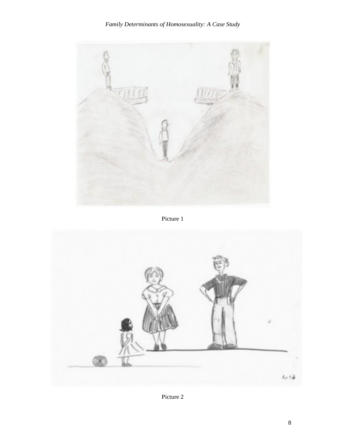

Picture 1



Picture 2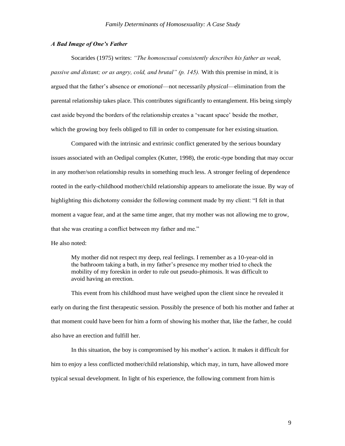#### *A Bad Image of One's Father*

Socarides (1975) writes: *"The homosexual consistently describes his father as weak, passive and distant; or as angry, cold, and brutal" (p. 145).* With this premise in mind, it is argued that the father's absence or *emotional*—not necessarily *physical*—elimination from the parental relationship takes place. This contributes significantly to entanglement. His being simply cast aside beyond the borders of the relationship creates a 'vacant space' beside the mother, which the growing boy feels obliged to fill in order to compensate for her existing situation.

Compared with the intrinsic and extrinsic conflict generated by the serious boundary issues associated with an Oedipal complex (Kutter, 1998), the erotic-type bonding that may occur in any mother/son relationship results in something much less. A stronger feeling of dependence rooted in the early-childhood mother/child relationship appears to ameliorate the issue. By way of highlighting this dichotomy consider the following comment made by my client: "I felt in that moment a vague fear, and at the same time anger, that my mother was not allowing me to grow, that she was creating a conflict between my father and me."

He also noted:

My mother did not respect my deep, real feelings. I remember as a 10-year-old in the bathroom taking a bath, in my father's presence my mother tried to check the mobility of my foreskin in order to rule out pseudo-phimosis. It was difficult to avoid having an erection.

This event from his childhood must have weighed upon the client since he revealed it early on during the first therapeutic session. Possibly the presence of both his mother and father at that moment could have been for him a form of showing his mother that, like the father, he could also have an erection and fulfill her.

In this situation, the boy is compromised by his mother's action. It makes it difficult for him to enjoy a less conflicted mother/child relationship, which may, in turn, have allowed more typical sexual development. In light of his experience, the following comment from himis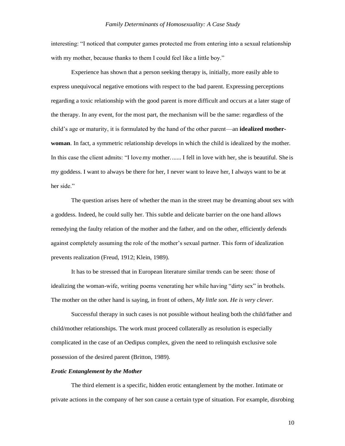interesting: "I noticed that computer games protected me from entering into a sexual relationship with my mother, because thanks to them I could feel like a little boy."

Experience has shown that a person seeking therapy is, initially, more easily able to express unequivocal negative emotions with respect to the bad parent. Expressing perceptions regarding a toxic relationship with the good parent is more difficult and occurs at a later stage of the therapy. In any event, for the most part, the mechanism will be the same: regardless of the child's age or maturity, it is formulated by the hand of the other parent—an **idealized motherwoman**. In fact, a symmetric relationship develops in which the child is idealized by the mother. In this case the client admits: "I love my mother....... I fell in love with her, she is beautiful. She is my goddess. I want to always be there for her, I never want to leave her, I always want to be at her side."

The question arises here of whether the man in the street may be dreaming about sex with a goddess. Indeed, he could sully her. This subtle and delicate barrier on the one hand allows remedying the faulty relation of the mother and the father, and on the other, efficiently defends against completely assuming the role of the mother's sexual partner. This form of idealization prevents realization (Freud, 1912; Klein, 1989).

It has to be stressed that in European literature similar trends can be seen: those of idealizing the woman-wife, writing poems venerating her while having "dirty sex" in brothels. The mother on the other hand is saying, in front of others*, My little son. He is very clever.*

Successful therapy in such cases is not possible without healing both the child/father and child/mother relationships. The work must proceed collaterally as resolution is especially complicated in the case of an Oedipus complex, given the need to relinquish exclusive sole possession of the desired parent (Britton, 1989).

#### *Erotic Entanglement by the Mother*

The third element is a specific, hidden erotic entanglement by the mother. Intimate or private actions in the company of her son cause a certain type of situation. For example, disrobing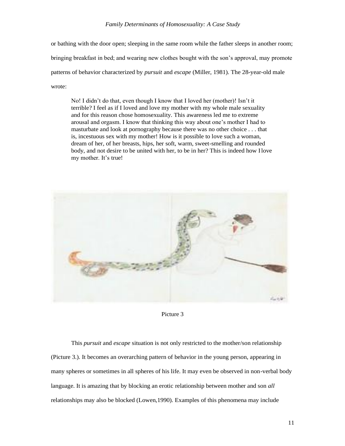or bathing with the door open; sleeping in the same room while the father sleeps in another room; bringing breakfast in bed; and wearing new clothes bought with the son's approval, may promote patterns of behavior characterized by *pursuit* and *escape* (Miller, 1981). The 28-year-old male wrote:

No! I didn't do that, even though I know that I loved her (mother)! Isn't it terrible? I feel as if I loved and love my mother with my whole male sexuality and for this reason chose homosexuality. This awareness led me to extreme arousal and orgasm. I know that thinking this way about one's mother I had to masturbate and look at pornography because there was no other choice . . . that is, incestuous sex with my mother! How is it possible to love such a woman, dream of her, of her breasts, hips, her soft, warm, sweet-smelling and rounded body, and not desire to be united with her, to be in her? This is indeed how Ilove my mother. It's true!



Picture 3

This *pursuit* and *escape* situation is not only restricted to the mother/son relationship (Picture 3.). It becomes an overarching pattern of behavior in the young person, appearing in many spheres or sometimes in all spheres of his life. It may even be observed in non-verbal body language. It is amazing that by blocking an erotic relationship between mother and son *all*  relationships may also be blocked (Lowen,1990). Examples of this phenomena may include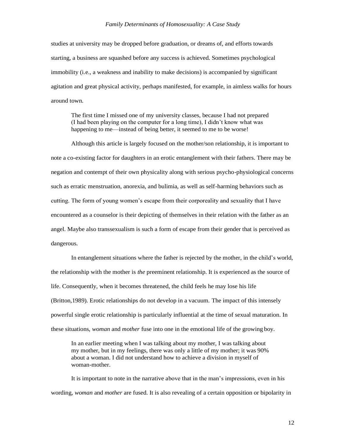studies at university may be dropped before graduation, or dreams of, and efforts towards starting, a business are squashed before any success is achieved. Sometimes psychological immobility (i.e., a weakness and inability to make decisions) is accompanied by significant agitation and great physical activity, perhaps manifested, for example, in aimless walks for hours around town.

The first time I missed one of my university classes, because I had not prepared (I had been playing on the computer for a long time), I didn't know what was happening to me—instead of being better, it seemed to me to be worse!

Although this article is largely focused on the mother/son relationship, it is important to note a co-existing factor for daughters in an erotic entanglement with their fathers. There may be negation and contempt of their own physicality along with serious psycho-physiological concerns such as erratic menstruation, anorexia, and bulimia, as well as self-harming behaviors such as cutting. The form of young women's escape from their corporeality and sexuality that I have encountered as a counselor is their depicting of themselves in their relation with the father as an angel. Maybe also transsexualism is such a form of escape from their gender that is perceived as dangerous.

In entanglement situations where the father is rejected by the mother, in the child's world, the relationship with the mother is *the* preeminent relationship. It is experienced as the source of life. Consequently, when it becomes threatened, the child feels he may lose his life (Britton,1989). Erotic relationships do not develop in a vacuum. The impact of this intensely powerful single erotic relationship is particularly influential at the time of sexual maturation. In these situations, *woman* and *mother* fuse into one in the emotional life of the growing boy.

In an earlier meeting when I was talking about my mother, I was talking about my mother, but in my feelings, there was only a little of my mother; it was 90% about a woman. I did not understand how to achieve a division in myself of woman-mother.

It is important to note in the narrative above that in the man's impressions, even in his wording, *woman* and *mother* are fused. It is also revealing of a certain opposition or bipolarity in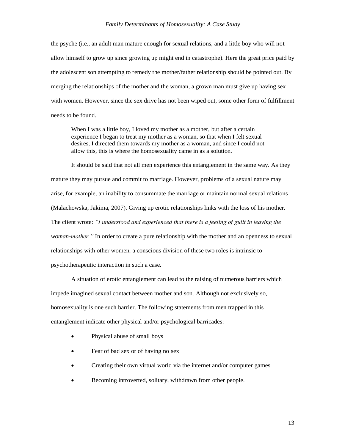the psyche (i.e., an adult man mature enough for sexual relations, and a little boy who will not allow himself to grow up since growing up might end in catastrophe). Here the great price paid by the adolescent son attempting to remedy the mother/father relationship should be pointed out. By merging the relationships of the mother and the woman, a grown man must give up having sex with women. However, since the sex drive has not been wiped out, some other form of fulfillment needs to be found.

When I was a little boy, I loved my mother as a mother, but after a certain experience I began to treat my mother as a woman, so that when I felt sexual desires, I directed them towards my mother as a woman, and since I could not allow this, this is where the homosexuality came in as a solution.

It should be said that not all men experience this entanglement in the same way. As they mature they may pursue and commit to marriage. However, problems of a sexual nature may arise, for example, an inability to consummate the marriage or maintain normal sexual relations (Malachowska, Jakima, 2007). Giving up erotic relationships links with the loss of his mother. The client wrote: *"I understood and experienced that there is a feeling of guilt in leaving the woman-mother."* In order to create a pure relationship with the mother and an openness to sexual relationships with other women, a conscious division of these two roles is intrinsic to psychotherapeutic interaction in such a case.

A situation of erotic entanglement can lead to the raising of numerous barriers which impede imagined sexual contact between mother and son. Although not exclusively so, homosexuality is one such barrier. The following statements from men trapped in this entanglement indicate other physical and/or psychological barricades:

- Physical abuse of small boys
- Fear of bad sex or of having no sex
- Creating their own virtual world via the internet and/or computer games
- Becoming introverted, solitary, withdrawn from other people.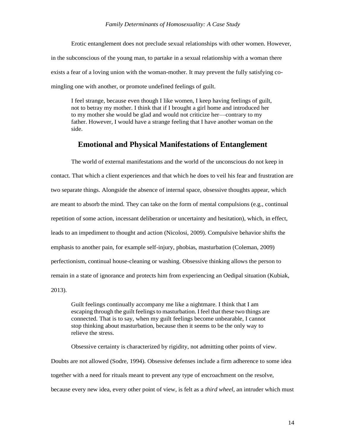Erotic entanglement does not preclude sexual relationships with other women. However, in the subconscious of the young man, to partake in a sexual relationship with a woman there exists a fear of a loving union with the woman-mother. It may prevent the fully satisfying comingling one with another, or promote undefined feelings of guilt.

I feel strange, because even though I like women, I keep having feelings of guilt, not to betray my mother. I think that if I brought a girl home and introduced her to my mother she would be glad and would not criticize her—contrary to my father. However, I would have a strange feeling that I have another woman on the side.

### **Emotional and Physical Manifestations of Entanglement**

The world of external manifestations and the world of the unconscious do not keep in contact. That which a client experiences and that which he does to veil his fear and frustration are two separate things. Alongside the absence of internal space, obsessive thoughts appear, which are meant to absorb the mind. They can take on the form of mental compulsions (e.g., continual repetition of some action, incessant deliberation or uncertainty and hesitation), which, in effect, leads to an impediment to thought and action (Nicolosi, 2009). Compulsive behavior shifts the emphasis to another pain, for example self-injury, phobias, masturbation (Coleman, 2009) perfectionism, continual house-cleaning or washing. Obsessive thinking allows the person to remain in a state of ignorance and protects him from experiencing an Oedipal situation (Kubiak, 2013).

Guilt feelings continually accompany me like a nightmare. I think that I am escaping through the guilt feelings to masturbation. I feel that these two things are connected. That is to say, when my guilt feelings become unbearable, I cannot stop thinking about masturbation, because then it seems to be the only way to relieve the stress.

Obsessive certainty is characterized by rigidity, not admitting other points of view. Doubts are not allowed (Sodre, 1994). Obsessive defenses include a firm adherence to some idea together with a need for rituals meant to prevent any type of encroachment on the resolve, because every new idea, every other point of view, is felt as a *third wheel,* an intruder which must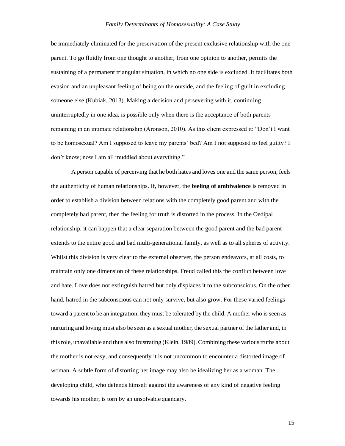be immediately eliminated for the preservation of the present exclusive relationship with the one parent. To go fluidly from one thought to another, from one opinion to another, permits the sustaining of a permanent triangular situation, in which no one side is excluded. It facilitates both evasion and an unpleasant feeling of being on the outside, and the feeling of guilt in excluding someone else (Kubiak, 2013). Making a decision and persevering with it, continuing uninterruptedly in one idea, is possible only when there is the acceptance of both parents remaining in an intimate relationship (Aronson, 2010). As this client expressed it: "Don't I want to be homosexual? Am I supposed to leave my parents' bed? Am I not supposed to feel guilty? I don't know; now I am all muddled about everything."

A person capable of perceiving that he both hates and loves one and the same person, feels the authenticity of human relationships. If, however, the **feeling of ambivalence** is removed in order to establish a division between relations with the completely good parent and with the completely bad parent, then the feeling for truth is distorted in the process. In the Oedipal relationship, it can happen that a clear separation between the good parent and the bad parent extends to the entire good and bad multi-generational family, as well as to all spheres of activity. Whilst this division is very clear to the external observer, the person endeavors, at all costs, to maintain only one dimension of these relationships. Freud called this the conflict between love and hate. Love does not extinguish hatred but only displaces it to the subconscious. On the other hand, hatred in the subconscious can not only survive, but also grow. For these varied feelings toward a parent to be an integration, they must be tolerated by the child. A mother who is seen as nurturing and loving must also be seen as a sexual mother, the sexual partner of the father and, in thisrole, unavailable and thus also frustrating (Klein, 1989). Combining these varioustruths about the mother is not easy, and consequently it is not uncommon to encounter a distorted image of woman. A subtle form of distorting her image may also be idealizing her as a woman. The developing child, who defends himself against the awareness of any kind of negative feeling towards his mother, is torn by an unsolvable quandary.

15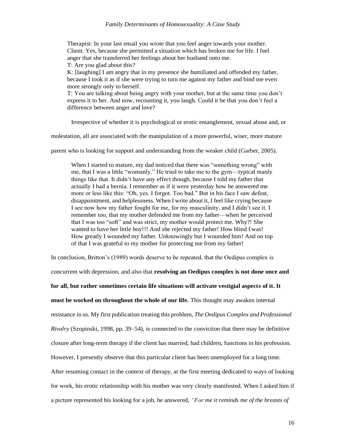Therapist: In your last email you wrote that you feel anger towards your mother. Client: Yes, because she permitted a situation which has broken me for life. I feel anger that she transferred her feelings about her husband onto me. T: Are you glad about this?

K: [laughing] I am angry that in my presence she humiliated and offended my father, because I took it as if she were trying to turn me against my father and bind me even more strongly only to herself.

T: You are talking about being angry with your mother, but at the same time you don't express it to her. And now, recounting it, you laugh. Could it be that you don't feel a difference between anger and love?

Irrespective of whether it is psychological or erotic entanglement, sexual abuse and, or

molestation, all are associated with the manipulation of a more powerful, wiser, more mature

parent who is looking for support and understanding from the weaker child (Garber, 2005).

When I started to mature, my dad noticed that there was "something wrong" with me, that I was a little "womanly." He tried to take me to the gym—typical manly things like that. It didn't have any effect though, because I told my father that actually I had a hernia. I remember as if it were yesterday how he answered me more or less like this: "Oh, yes. I forgot. Too bad." But in his face I saw defeat, disappointment, and helplessness. When I write about it, I feel like crying because I see now how my father fought for me, for my masculinity, and I didn't see it. I remember too, that my mother defended me from my father—when he perceived that I was too "soft" and was strict, my mother would protect me. Why?! She wanted to have her little boy!!! And she rejected my father! How blind I was! How greatly I wounded my father. Unknowingly but I wounded him! And on top of that I was grateful to my mother for protecting me from my father!

In conclusion, Britton's (1989) words deserve to be repeated, that the Oedipus complex is

concurrent with depression, and also that **resolving an Oedipus complex is not done once and** 

**for all, but rather sometimes certain life situations will activate vestigial aspects of it. It** 

**must be worked on throughout the whole of our life.** This thought may awaken internal

resistance in us. My first publication treating this problem, *The Oedipus Complex and Professional* 

*Rivalry* (Szopinski, 1998, pp. 39–54), is connected to the conviction that there may be definitive

closure after long-term therapy if the client has married, had children, functions in his profession.

However, I presently observe that this particular client has been unemployed for a long time.

After resuming contact in the context of therapy, at the first meeting dedicated to ways of looking

for work, his erotic relationship with his mother was very clearly manifested. When I asked him if

a picture represented his looking for a job, he answered*, "For me it reminds me of the breasts of*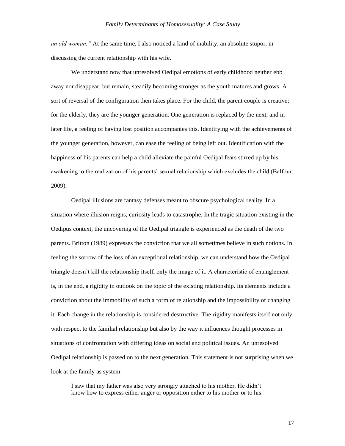*an old woman."* At the same time, I also noticed a kind of inability, an absolute stupor, in discussing the current relationship with his wife.

We understand now that unresolved Oedipal emotions of early childhood neither ebb away nor disappear, but remain, steadily becoming stronger as the youth matures and grows. A sort of reversal of the configuration then takes place. For the child, the parent couple is creative; for the elderly, they are the younger generation. One generation is replaced by the next, and in later life, a feeling of having lost position accompanies this. Identifying with the achievements of the younger generation, however, can ease the feeling of being left out. Identification with the happiness of his parents can help a child alleviate the painful Oedipal fears stirred up by his awakening to the realization of his parents' sexual relationship which excludes the child (Balfour, 2009).

Oedipal illusions are fantasy defenses meant to obscure psychological reality. In a situation where illusion reigns, curiosity leads to catastrophe. In the tragic situation existing in the Oedipus context, the uncovering of the Oedipal triangle is experienced as the death of the two parents. Britton (1989) expresses the conviction that we all sometimes believe in such notions. In feeling the sorrow of the loss of an exceptional relationship, we can understand how the Oedipal triangle doesn't kill the relationship itself, only the image of it. A characteristic of entanglement is, in the end, a rigidity in outlook on the topic of the existing relationship. Its elements include a conviction about the immobility of such a form of relationship and the impossibility of changing it. Each change in the relationship is considered destructive. The rigidity manifests itself not only with respect to the familial relationship but also by the way it influences thought processes in situations of confrontation with differing ideas on social and political issues. An unresolved Oedipal relationship is passed on to the next generation. This statement is not surprising when we look at the family as system.

I saw that my father was also very strongly attached to his mother. He didn't know how to express either anger or opposition either to his mother or to his

17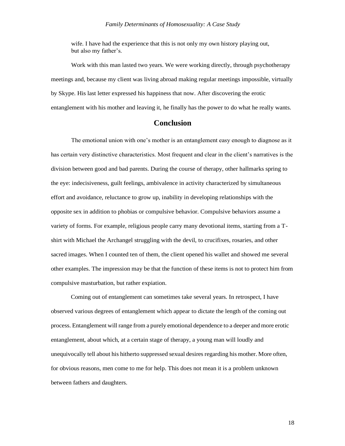wife. I have had the experience that this is not only my own history playing out, but also my father's.

Work with this man lasted two years. We were working directly, through psychotherapy meetings and, because my client was living abroad making regular meetings impossible, virtually by Skype. His last letter expressed his happiness that now. After discovering the erotic entanglement with his mother and leaving it, he finally has the power to do what he really wants.

## **Conclusion**

The emotional union with one's mother is an entanglement easy enough to diagnose as it has certain very distinctive characteristics. Most frequent and clear in the client's narratives is the division between good and bad parents. During the course of therapy, other hallmarks spring to the eye: indecisiveness, guilt feelings, ambivalence in activity characterized by simultaneous effort and avoidance, reluctance to grow up, inability in developing relationships with the opposite sex in addition to phobias or compulsive behavior. Compulsive behaviors assume a variety of forms. For example, religious people carry many devotional items, starting from a Tshirt with Michael the Archangel struggling with the devil, to crucifixes, rosaries, and other sacred images. When I counted ten of them, the client opened his wallet and showed me several other examples. The impression may be that the function of these items is not to protect him from compulsive masturbation, but rather expiation.

Coming out of entanglement can sometimes take several years. In retrospect, I have observed various degrees of entanglement which appear to dictate the length of the coming out process. Entanglement will range from a purely emotional dependence to a deeper and more erotic entanglement, about which, at a certain stage of therapy, a young man will loudly and unequivocally tell about his hitherto suppressed sexual desiresregarding his mother. More often, for obvious reasons, men come to me for help. This does not mean it is a problem unknown between fathers and daughters.

18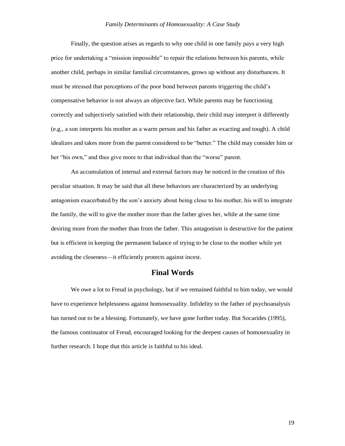Finally, the question arises as regards to why one child in one family pays a very high price for undertaking a "mission impossible" to repair the relations between his parents, while another child, perhaps in similar familial circumstances, grows up without any disturbances. It must be stressed that perceptions of the poor bond between parents triggering the child's compensative behavior is not always an objective fact. While parents may be functioning correctly and subjectively satisfied with their relationship, their child may interpret it differently (e.g., a son interprets his mother as a warm person and his father as exacting and tough). A child idealizes and takes more from the parent considered to be "better." The child may consider him or her "his own," and thus give more to that individual than the "worse" parent.

An accumulation of internal and external factors may be noticed in the creation of this peculiar situation. It may be said that all these behaviors are characterized by an underlying antagonism exacerbated by the son's anxiety about being close to his mother, his will to integrate the family, the will to give the mother more than the father gives her, while at the same time desiring more from the mother than from the father. This antagonism is destructive for the patient but is efficient in keeping the permanent balance of trying to be close to the mother while yet avoiding the closeness—it efficiently protects against incest.

### **Final Words**

We owe a lot to Freud in psychology, but if we remained faithful to him today, we would have to experience helplessness against homosexuality. Infidelity to the father of psychoanalysis has turned out to be a blessing. Fortunately, we have gone further today. But Socarides (1995), the famous continuator of Freud, encouraged looking for the deepest causes of homosexuality in further research. I hope that this article is faithful to his ideal.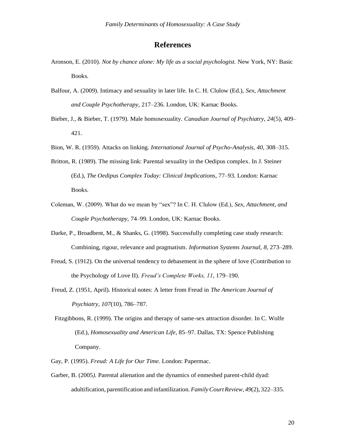# **References**

- Aronson, E. (2010). *Not by chance alone: My life as a social psychologist.* New York, NY: Basic Books.
- Balfour, A. (2009). Intimacy and sexuality in later life. In C. H. Clulow (Ed.), *Sex, Attachment and Couple Psychotherapy*, 217–236. London, UK: Karnac Books.
- Bieber, J., & Bieber, T. (1979). Male homosexuality*. Canadian Journal of Psychiatry, 24*(5), 409– 421.
- Bion, W. R. (1959). Attacks on linking. *International Journal of Psycho-Analysis, 40,* 308–315.
- Britton, R. (1989). The missing link: Parental sexuality in the Oedipus complex. In J. Steiner (Ed.), *The Oedipus Complex Today: Clinical Implications*, 77–93. London: Karnac Books.
- Coleman, W. (2009). What do we mean by "sex"? In C. H. Clulow (Ed.), *Sex, Attachment, and Couple Psychotherapy,* 74–99. London, UK: Karnac Books.
- Darke, P., Broadbent, M., & Shanks, G. (1998). Successfully completing case study research: Combining, rigour, relevance and pragmatism. *Information Systems Journal, 8*, 273–289.
- Freud, S. (1912). On the universal tendency to debasement in the sphere of love (Contribution to the Psychology of Love II). *Freud's Complete Works, 11*, 179–190.
- Freud, Z. (1951, April). Historical notes: A letter from Freud in *The American Journal of Psychiatry, 107*(10), 786–787.
- Fitzgibbons, R. (1999). The origins and therapy of same-sex attraction disorder*.* In C. Wolfe (Ed.), *Homosexuality and American Life*, 85–97. Dallas, TX: Spence Publishing Company.
- Gay, P. (1995). *Freud: A Life for Our Time.* London: Papermac.
- Garber, B. (2005*).* Parental alienation and the dynamics of enmeshed parent-child dyad: adultification, parentification and infantilization*.FamilyCourtReview, 49*(2), 322–335.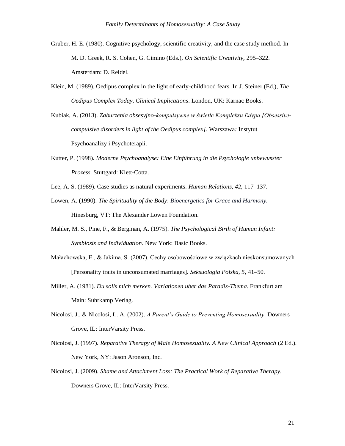- Gruber, H. E. (1980). Cognitive psychology, scientific creativity, and the case study method*.* In M. D. Greek, R. S. Cohen, G. Cimino (Eds.), *On Scientific Creativity,* 295–322. Amsterdam: D. Reidel.
- Klein, M. (1989). Oedipus complex in the light of early-childhood fears*.* In J. Steiner (Ed.), *The Oedipus Complex Today, Clinical Implications*. London, UK: Karnac Books.
- Kubiak, A. (2013). *Zaburzenia obsesyjno-kompulsywne w świetle Kompleksu Edypa [Obsessivecompulsive disorders in light of the Oedipus complex].* Warszawa*:* Instytut Psychoanalizy i Psychoterapii.
- Kutter, P. (1998). *Moderne Psychoanalyse: Eine Einführung in die Psychologie unbewusster Prozess*. Stuttgard: Klett-Cotta.
- Lee, A. S. (1989). Case studies as natural experiments*. Human Relations, 42,* 117–137.
- Lowen, A. (1990). *The Spirituality of the Body*: *Bioenergetics for Grace and Harmony.* Hinesburg, VT: The Alexander Lowen Foundation.
- Mahler, M. S., Pine, F., & Bergman, A. (1975). *The Psychological Birth of Human Infant: Symbiosis and Individuation*. New York: Basic Books.
- Małachowska, E., & Jakima, S. (2007). Cechy osobowościowe w związkach nieskonsumowanych [Personality traits in unconsumated marriages]. *Seksuologia Polska, 5*, 41–50.
- Miller, A. (1981). *Du solls mich merken. Variationen uber das Paradis-Thema.* Frankfurt am Main: Suhrkamp Verlag.
- Nicolosi, J., & Nicolosi, L. A. (2002). *A Parent's Guide to Preventing Homosexuality*. Downers Grove, IL: InterVarsity Press.
- Nicolosi, J. (1997). *Reparative Therapy of Male Homosexuality. A New Clinical Approach* (2 Ed.). New York, NY: Jason Aronson, Inc.
- Nicolosi, J. (2009). *Shame and Attachment Loss: The Practical Work of Reparative Therapy.* Downers Grove, IL: InterVarsity Press.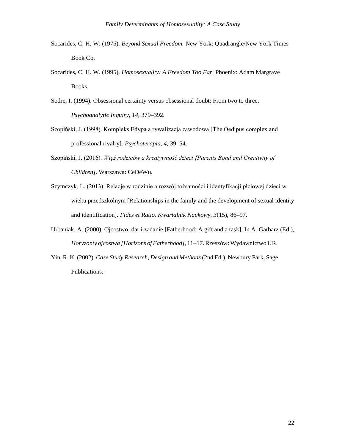- Socarides, C. H. W. (1975). *Beyond Sexual Freedom.* New York: Quadrangle/New York Times Book Co.
- Socarides, C. H. W. (1995). *Homosexuality: A Freedom Too Far*. Phoenix: Adam Margrave Books.
- Sodre, I. (1994). Obsessional certainty versus obsessional doubt: From two to three*. Psychoanalytic Inquiry, 14*, 379–392.
- Szopiński, J. (1998). Kompleks Edypa a rywalizacja zawodowa [The Oedipus complex and professional rivalry]. *Psychoterapia, 4*, 39–54.
- Szopiński, J. (2016). *Więź rodziców a kreatywność dzieci [Parents Bond and Creativity of Children]*. Warszawa: CeDeWu.
- Szymczyk, L. (2013). Relacje w rodzinie a rozwój tożsamości i identyfikacji płciowej dzieci w wieku przedszkolnym [Relationships in the family and the development of sexual identity and identification]. *Fides et Ratio. Kwartalnik Naukowy, 3*(15), 86–97.
- Urbaniak, A. (2000). Ojcostwo: dar i zadanie [Fatherhood: A gift and a task]. In A. Garbarz (Ed.), *Horyzonty ojcostwa [Horizons of Fatherhood],* 11–17. Rzeszów:Wydawnictwo UR.
- Yin, R. K. (2002). *Case Study Research, Design and Methods*(2nd Ed.). Newbury Park, Sage Publications.